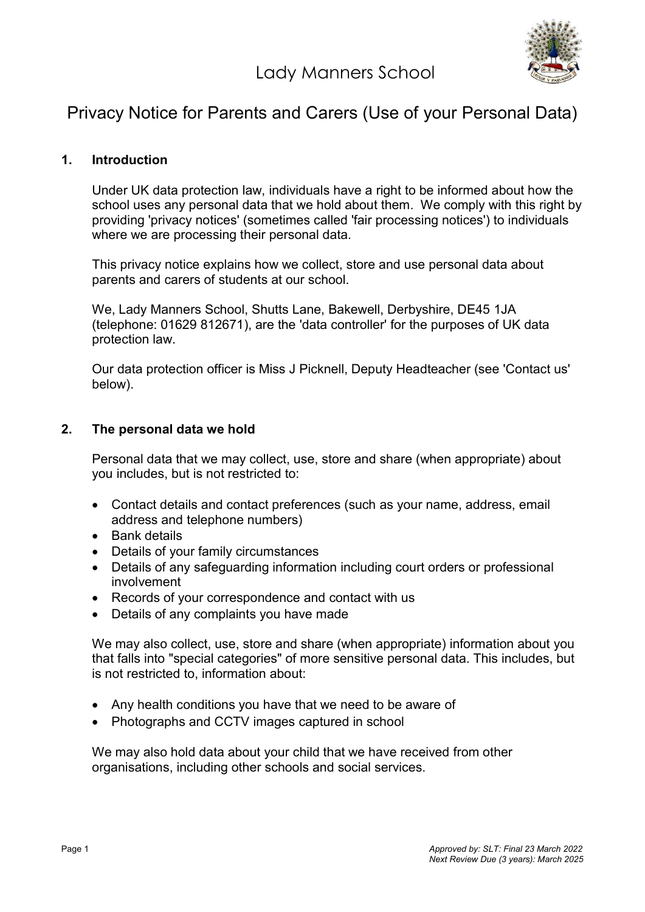Lady Manners School



# Privacy Notice for Parents and Carers (Use of your Personal Data)

## 1. Introduction

Under UK data protection law, individuals have a right to be informed about how the school uses any personal data that we hold about them. We comply with this right by providing 'privacy notices' (sometimes called 'fair processing notices') to individuals where we are processing their personal data.

This privacy notice explains how we collect, store and use personal data about parents and carers of students at our school.

We, Lady Manners School, Shutts Lane, Bakewell, Derbyshire, DE45 1JA (telephone: 01629 812671), are the 'data controller' for the purposes of UK data protection law.

Our data protection officer is Miss J Picknell, Deputy Headteacher (see 'Contact us' below).

#### 2. The personal data we hold

Personal data that we may collect, use, store and share (when appropriate) about you includes, but is not restricted to:

- Contact details and contact preferences (such as your name, address, email address and telephone numbers)
- Bank details
- Details of your family circumstances
- Details of any safeguarding information including court orders or professional involvement
- Records of your correspondence and contact with us
- Details of any complaints you have made

We may also collect, use, store and share (when appropriate) information about you that falls into "special categories" of more sensitive personal data. This includes, but is not restricted to, information about:

- Any health conditions you have that we need to be aware of
- Photographs and CCTV images captured in school

We may also hold data about your child that we have received from other organisations, including other schools and social services.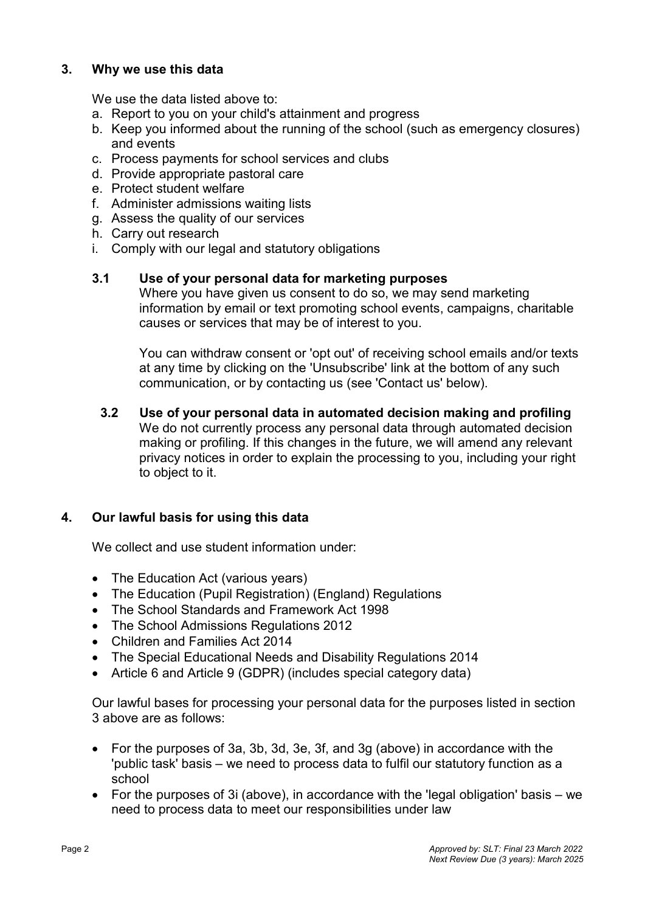# 3. Why we use this data

We use the data listed above to:

- a. Report to you on your child's attainment and progress
- b. Keep you informed about the running of the school (such as emergency closures) and events
- c. Process payments for school services and clubs
- d. Provide appropriate pastoral care
- e. Protect student welfare
- f. Administer admissions waiting lists
- g. Assess the quality of our services
- h. Carry out research
- i. Comply with our legal and statutory obligations

#### 3.1 Use of your personal data for marketing purposes

Where you have given us consent to do so, we may send marketing information by email or text promoting school events, campaigns, charitable causes or services that may be of interest to you.

You can withdraw consent or 'opt out' of receiving school emails and/or texts at any time by clicking on the 'Unsubscribe' link at the bottom of any such communication, or by contacting us (see 'Contact us' below).

3.2 Use of your personal data in automated decision making and profiling We do not currently process any personal data through automated decision making or profiling. If this changes in the future, we will amend any relevant privacy notices in order to explain the processing to you, including your right to object to it.

## 4. Our lawful basis for using this data

We collect and use student information under:

- The Education Act (various years)
- The Education (Pupil Registration) (England) Regulations
- The School Standards and Framework Act 1998
- The School Admissions Regulations 2012
- Children and Families Act 2014
- The Special Educational Needs and Disability Regulations 2014
- Article 6 and Article 9 (GDPR) (includes special category data)

Our lawful bases for processing your personal data for the purposes listed in section 3 above are as follows:

- For the purposes of 3a, 3b, 3d, 3e, 3f, and 3g (above) in accordance with the 'public task' basis – we need to process data to fulfil our statutory function as a school
- For the purposes of 3i (above), in accordance with the 'legal obligation' basis we need to process data to meet our responsibilities under law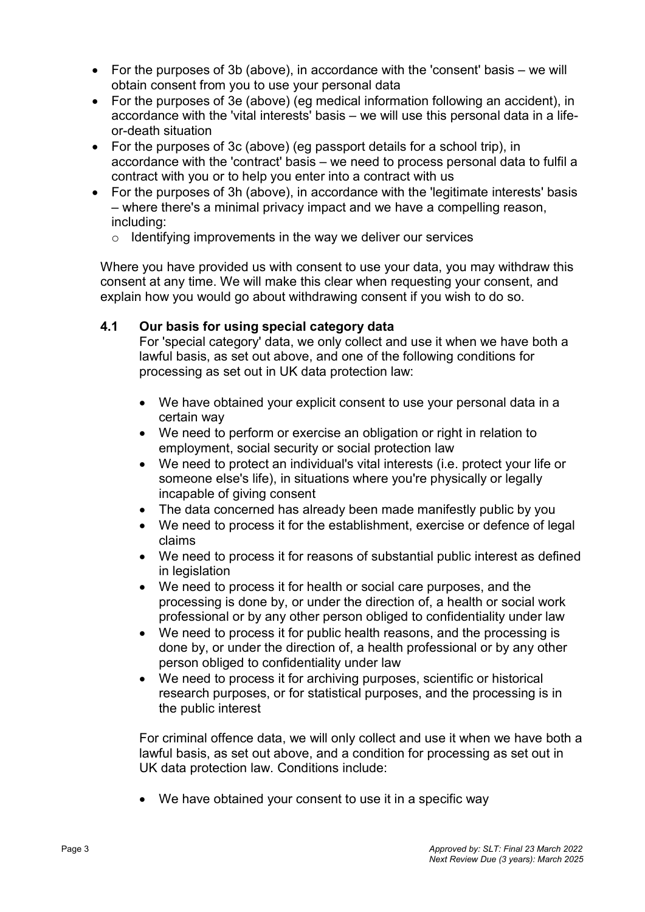- For the purposes of 3b (above), in accordance with the 'consent' basis we will obtain consent from you to use your personal data
- For the purposes of 3e (above) (eg medical information following an accident), in accordance with the 'vital interests' basis – we will use this personal data in a lifeor-death situation
- For the purposes of 3c (above) (eg passport details for a school trip), in accordance with the 'contract' basis – we need to process personal data to fulfil a contract with you or to help you enter into a contract with us
- For the purposes of 3h (above), in accordance with the 'legitimate interests' basis – where there's a minimal privacy impact and we have a compelling reason, including:
	- $\circ$  Identifying improvements in the way we deliver our services

Where you have provided us with consent to use your data, you may withdraw this consent at any time. We will make this clear when requesting your consent, and explain how you would go about withdrawing consent if you wish to do so.

# 4.1 Our basis for using special category data

For 'special category' data, we only collect and use it when we have both a lawful basis, as set out above, and one of the following conditions for processing as set out in UK data protection law:

- We have obtained your explicit consent to use your personal data in a certain way
- We need to perform or exercise an obligation or right in relation to employment, social security or social protection law
- We need to protect an individual's vital interests (i.e. protect your life or someone else's life), in situations where you're physically or legally incapable of giving consent
- The data concerned has already been made manifestly public by you
- We need to process it for the establishment, exercise or defence of legal claims
- We need to process it for reasons of substantial public interest as defined in legislation
- We need to process it for health or social care purposes, and the processing is done by, or under the direction of, a health or social work professional or by any other person obliged to confidentiality under law
- We need to process it for public health reasons, and the processing is done by, or under the direction of, a health professional or by any other person obliged to confidentiality under law
- We need to process it for archiving purposes, scientific or historical research purposes, or for statistical purposes, and the processing is in the public interest

For criminal offence data, we will only collect and use it when we have both a lawful basis, as set out above, and a condition for processing as set out in UK data protection law. Conditions include:

We have obtained your consent to use it in a specific way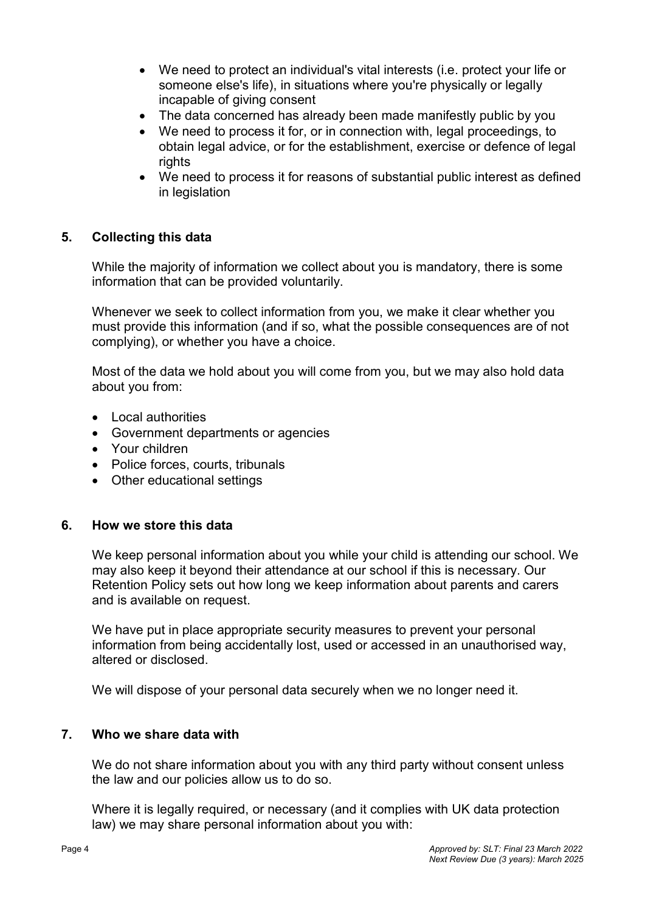- We need to protect an individual's vital interests (i.e. protect your life or someone else's life), in situations where you're physically or legally incapable of giving consent
- The data concerned has already been made manifestly public by you
- We need to process it for, or in connection with, legal proceedings, to obtain legal advice, or for the establishment, exercise or defence of legal rights
- We need to process it for reasons of substantial public interest as defined in legislation

# 5. Collecting this data

While the majority of information we collect about you is mandatory, there is some information that can be provided voluntarily.

Whenever we seek to collect information from you, we make it clear whether you must provide this information (and if so, what the possible consequences are of not complying), or whether you have a choice.

Most of the data we hold about you will come from you, but we may also hold data about you from:

- Local authorities
- Government departments or agencies
- Your children
- Police forces, courts, tribunals
- Other educational settings

#### 6. How we store this data

We keep personal information about you while your child is attending our school. We may also keep it beyond their attendance at our school if this is necessary. Our Retention Policy sets out how long we keep information about parents and carers and is available on request.

We have put in place appropriate security measures to prevent your personal information from being accidentally lost, used or accessed in an unauthorised way, altered or disclosed.

We will dispose of your personal data securely when we no longer need it.

## 7. Who we share data with

We do not share information about you with any third party without consent unless the law and our policies allow us to do so.

Where it is legally required, or necessary (and it complies with UK data protection law) we may share personal information about you with: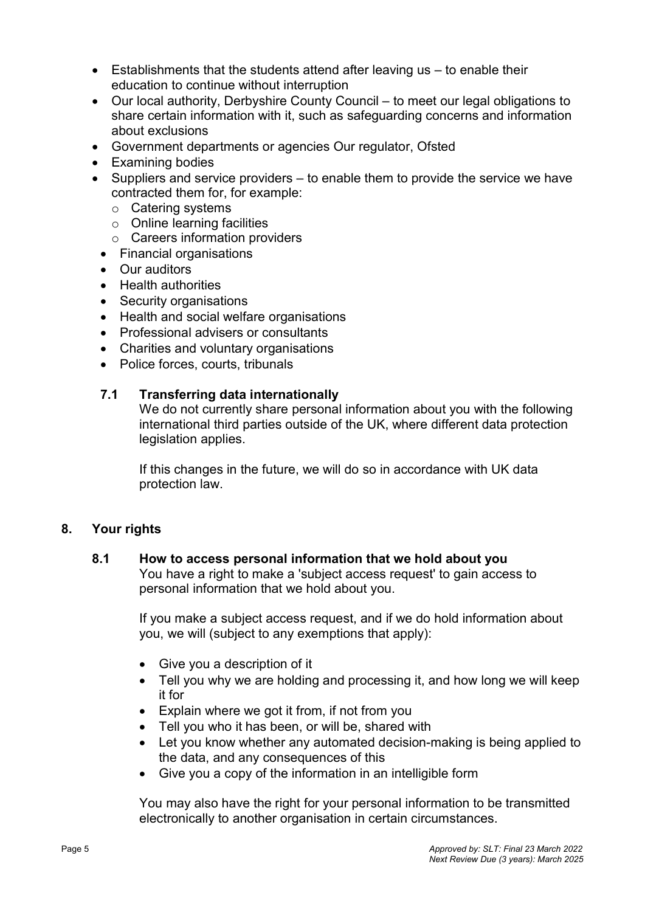- Establishments that the students attend after leaving us to enable their education to continue without interruption
- Our local authority, Derbyshire County Council to meet our legal obligations to share certain information with it, such as safeguarding concerns and information about exclusions
- Government departments or agencies Our regulator, Ofsted
- Examining bodies
- $\bullet$  Suppliers and service providers to enable them to provide the service we have contracted them for, for example:
	- o Catering systems
	- $\circ$  Online learning facilities
	- o Careers information providers
	- Financial organisations
	- Our auditors
	- Health authorities
	- Security organisations
	- Health and social welfare organisations
	- Professional advisers or consultants
	- Charities and voluntary organisations
	- Police forces, courts, tribunals

# 7.1 Transferring data internationally

We do not currently share personal information about you with the following international third parties outside of the UK, where different data protection legislation applies.

If this changes in the future, we will do so in accordance with UK data protection law.

## 8. Your rights

## 8.1 How to access personal information that we hold about you

You have a right to make a 'subject access request' to gain access to personal information that we hold about you.

If you make a subject access request, and if we do hold information about you, we will (subject to any exemptions that apply):

- Give you a description of it
- Tell you why we are holding and processing it, and how long we will keep it for
- Explain where we got it from, if not from you
- Tell you who it has been, or will be, shared with
- Let you know whether any automated decision-making is being applied to the data, and any consequences of this
- Give you a copy of the information in an intelligible form

You may also have the right for your personal information to be transmitted electronically to another organisation in certain circumstances.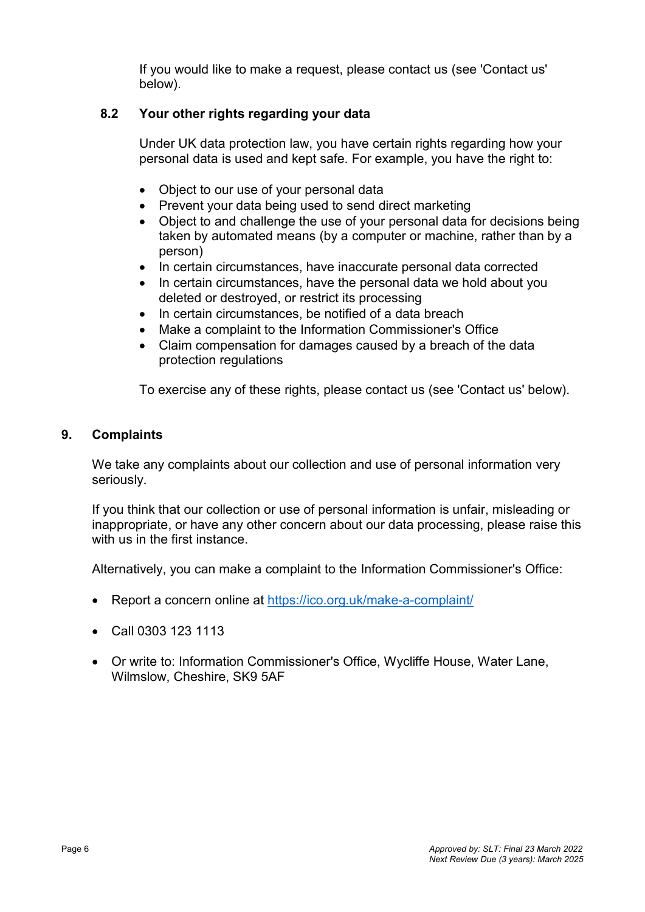If you would like to make a request, please contact us (see 'Contact us' below).

# 8.2 Your other rights regarding your data

Under UK data protection law, you have certain rights regarding how your personal data is used and kept safe. For example, you have the right to:

- Object to our use of your personal data
- Prevent your data being used to send direct marketing
- Object to and challenge the use of your personal data for decisions being taken by automated means (by a computer or machine, rather than by a person)
- In certain circumstances, have inaccurate personal data corrected
- In certain circumstances, have the personal data we hold about you deleted or destroyed, or restrict its processing
- In certain circumstances, be notified of a data breach
- Make a complaint to the Information Commissioner's Office
- Claim compensation for damages caused by a breach of the data protection regulations

To exercise any of these rights, please contact us (see 'Contact us' below).

## 9. Complaints

We take any complaints about our collection and use of personal information very seriously.

If you think that our collection or use of personal information is unfair, misleading or inappropriate, or have any other concern about our data processing, please raise this with us in the first instance.

Alternatively, you can make a complaint to the Information Commissioner's Office:

- Report a concern online at https://ico.org.uk/make-a-complaint/
- Call 0303 123 1113
- Or write to: Information Commissioner's Office, Wycliffe House, Water Lane, Wilmslow, Cheshire, SK9 5AF